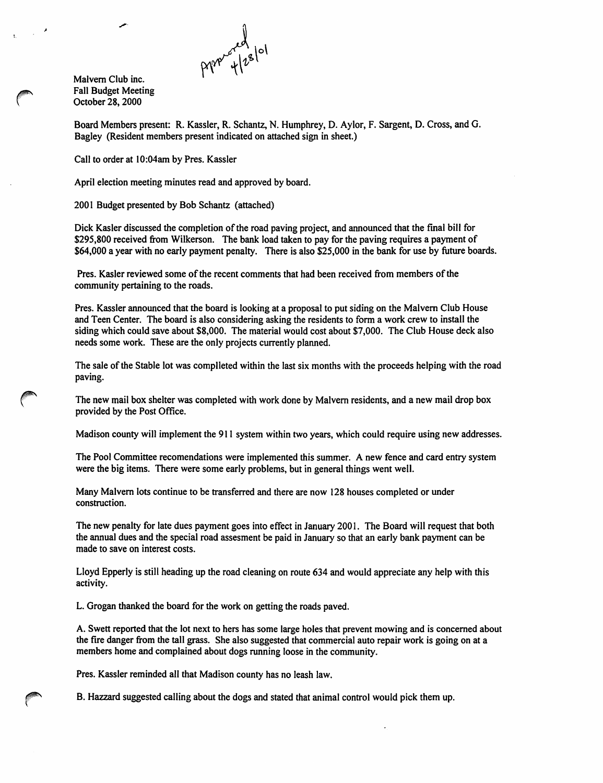Malvern Club inc. Fall Budget Meeting October 28, 2000

Board Members present: R. Kassler, R. Schantz, N. Humphrey, D. Aylor, F. Sargent, D. Cross, and G. Bagley (Resident members present indicated on attached sign in sheet.)

Call to order at 10:04am by Pres. Kassler

April election meeting minutes read and approved by board.

2001 Budget presented by Bob Schantz (attached)

Dick Kaster discussed the completion of the road paving project, and announced that the final bill for \$295,800 received from Wilkerson. The bank load taken to pay for the paving requires a payment of \$64,000 a year with no early payment penalty. There is also \$25,000 in the bank for use by future boards.

Pres. Kaster reviewed some of the recent comments that had been received from members of the community pertaining to the roads.

Pres. Kassler announced that the board is looking at a proposal to put siding on the Malvern Club House and Teen Center. The board is also considering asking the residents to form a work crew to install the siding which could save about \$8,000. The material would cost about \$7,000. The Club House deck also needs some work. These are the only projects currently planned.

The sale of the Stable lot was complleted within the last six months with the proceeds helping with the road paving.

The new mail box shelter was completed with work done by Malvern residents, and a new mail drop box provided by the Post Office.

Madison county will implement the 911 system within two years, which could require using new addresses.

The Pool Committee recomendations were implemented this summer. A new fence and card entry system were the big items. There were some early problems, but in general things went well.

Many Malvern lots continue to be transferred and there are now 128 houses completed or under construction.

The new penalty for late dues payment goes into effect in January 2001. The Board will request that both the annual dues and the special road assesment be paid in January so that an early bank payment can be made to save on interest costs.

Lloyd Epperly is still heading up the road cleaning on route 634 and would appreciate any help with this activity.

L. Grogan thanked the board for the work on getting the roads paved.

A. Swett reported that the lot next to hers has some large holes that prevent mowing and is concerned about the fire danger from the tall grass. She also suggested that commercial auto repair work is going on at a members home and complained about dogs running loose in the community.

Pres. Kassler reminded all that Madison county has no leash law.

B. Hazzard suggested calling about the dogs and stated that animal control would pick them up.